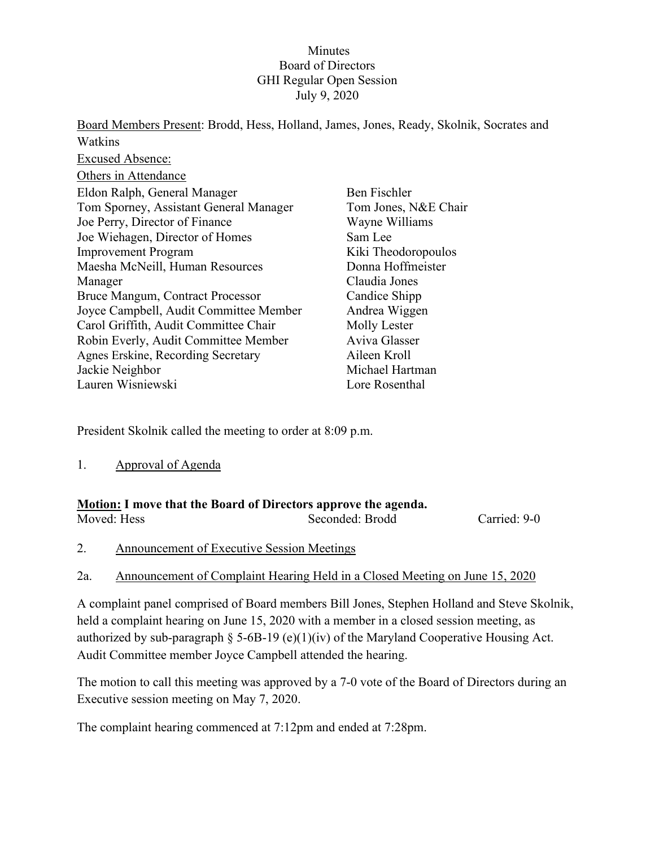### **Minutes** Board of Directors GHI Regular Open Session July 9, 2020

Board Members Present: Brodd, Hess, Holland, James, Jones, Ready, Skolnik, Socrates and Watkins Excused Absence: Others in Attendance Eldon Ralph, General Manager Tom Sporney, Assistant General Manager Joe Perry, Director of Finance Joe Wiehagen, Director of Homes Improvement Program Maesha McNeill, Human Resources Manager Bruce Mangum, Contract Processor Joyce Campbell, Audit Committee Member Carol Griffith, Audit Committee Chair Robin Everly, Audit Committee Member Agnes Erskine, Recording Secretary Jackie Neighbor Lauren Wisniewski Ben Fischler Tom Jones, N&E Chair Wayne Williams Sam Lee Kiki Theodoropoulos Donna Hoffmeister Claudia Jones Candice Shipp Andrea Wiggen Molly Lester Aviva Glasser Aileen Kroll Michael Hartman Lore Rosenthal

President Skolnik called the meeting to order at 8:09 p.m.

1. Approval of Agenda

| <b>Motion:</b> I move that the Board of Directors approve the agenda. |                 |              |  |  |
|-----------------------------------------------------------------------|-----------------|--------------|--|--|
| Moved: Hess                                                           | Seconded: Brodd | Carried: 9-0 |  |  |

- 2. Announcement of Executive Session Meetings
- 2a. Announcement of Complaint Hearing Held in a Closed Meeting on June 15, 2020

A complaint panel comprised of Board members Bill Jones, Stephen Holland and Steve Skolnik, held a complaint hearing on June 15, 2020 with a member in a closed session meeting, as authorized by sub-paragraph § 5-6B-19 (e)(1)(iv) of the Maryland Cooperative Housing Act. Audit Committee member Joyce Campbell attended the hearing.

The motion to call this meeting was approved by a 7-0 vote of the Board of Directors during an Executive session meeting on May 7, 2020.

The complaint hearing commenced at 7:12pm and ended at 7:28pm.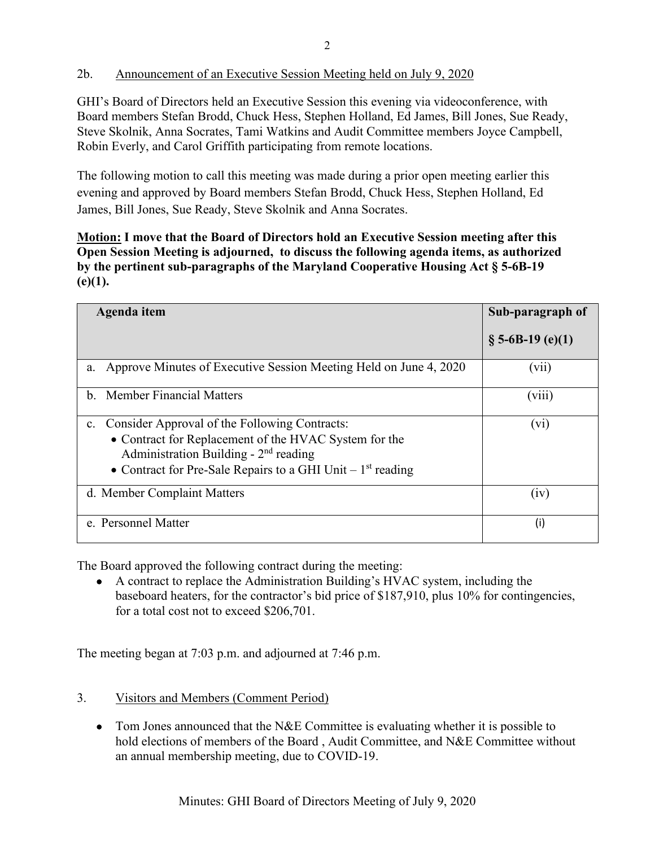## 2b. Announcement of an Executive Session Meeting held on July 9, 2020

GHI's Board of Directors held an Executive Session this evening via videoconference, with Board members Stefan Brodd, Chuck Hess, Stephen Holland, Ed James, Bill Jones, Sue Ready, Steve Skolnik, Anna Socrates, Tami Watkins and Audit Committee members Joyce Campbell, Robin Everly, and Carol Griffith participating from remote locations.

The following motion to call this meeting was made during a prior open meeting earlier this evening and approved by Board members Stefan Brodd, Chuck Hess, Stephen Holland, Ed James, Bill Jones, Sue Ready, Steve Skolnik and Anna Socrates.

**Motion: I move that the Board of Directors hold an Executive Session meeting after this Open Session Meeting is adjourned, to discuss the following agenda items, as authorized by the pertinent sub-paragraphs of the Maryland Cooperative Housing Act § 5-6B-19 (e)(1).** 

| Agenda item                                                                                                                                                                                                             | Sub-paragraph of    |
|-------------------------------------------------------------------------------------------------------------------------------------------------------------------------------------------------------------------------|---------------------|
|                                                                                                                                                                                                                         | $\S$ 5-6B-19 (e)(1) |
| Approve Minutes of Executive Session Meeting Held on June 4, 2020<br>a.                                                                                                                                                 | (vii)               |
| <b>Member Financial Matters</b><br>$h_{\cdot}$                                                                                                                                                                          | (viii)              |
| Consider Approval of the Following Contracts:<br>c.<br>• Contract for Replacement of the HVAC System for the<br>Administration Building - $2nd$ reading<br>• Contract for Pre-Sale Repairs to a GHI Unit $-1st$ reading | $(v_i)$             |
| d. Member Complaint Matters                                                                                                                                                                                             | (iv)                |
| e. Personnel Matter                                                                                                                                                                                                     | (i)                 |

The Board approved the following contract during the meeting:

• A contract to replace the Administration Building's HVAC system, including the baseboard heaters, for the contractor's bid price of \$187,910, plus 10% for contingencies, for a total cost not to exceed \$206,701.

The meeting began at 7:03 p.m. and adjourned at 7:46 p.m.

- 3. Visitors and Members (Comment Period)
	- Tom Jones announced that the N&E Committee is evaluating whether it is possible to hold elections of members of the Board , Audit Committee, and N&E Committee without an annual membership meeting, due to COVID-19.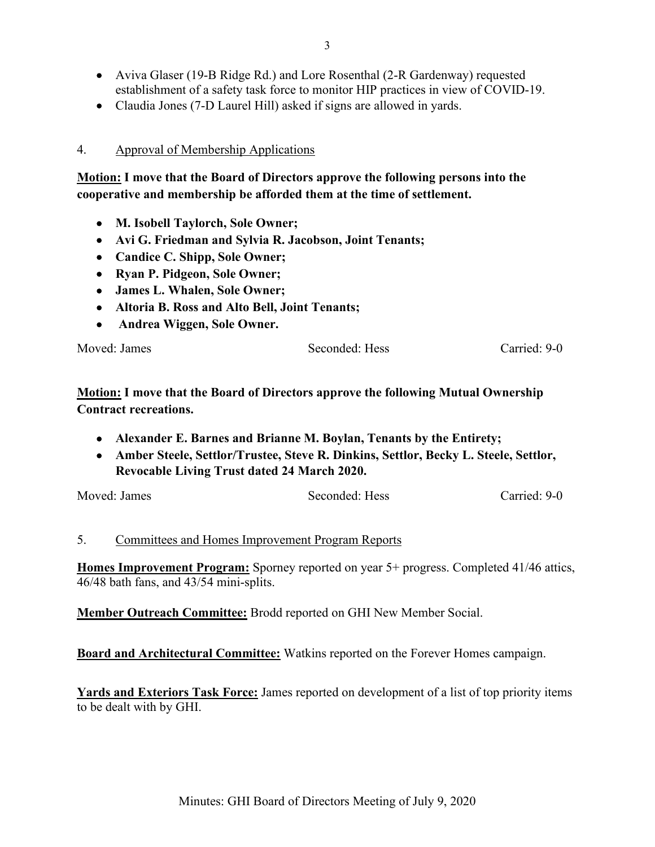- Aviva Glaser (19-B Ridge Rd.) and Lore Rosenthal (2-R Gardenway) requested establishment of a safety task force to monitor HIP practices in view of COVID-19.
- Claudia Jones (7-D Laurel Hill) asked if signs are allowed in yards.

#### 4. Approval of Membership Applications

**Motion: I move that the Board of Directors approve the following persons into the cooperative and membership be afforded them at the time of settlement.**

- **M. Isobell Taylorch, Sole Owner;**
- **Avi G. Friedman and Sylvia R. Jacobson, Joint Tenants;**
- **Candice C. Shipp, Sole Owner;**
- **Ryan P. Pidgeon, Sole Owner;**
- **James L. Whalen, Sole Owner;**
- **Altoria B. Ross and Alto Bell, Joint Tenants;**
- **Andrea Wiggen, Sole Owner.**

Moved: James Seconded: Hess Carried: 9-0

**Motion: I move that the Board of Directors approve the following Mutual Ownership Contract recreations.**

- **Alexander E. Barnes and Brianne M. Boylan, Tenants by the Entirety;**
- **Amber Steele, Settlor/Trustee, Steve R. Dinkins, Settlor, Becky L. Steele, Settlor, Revocable Living Trust dated 24 March 2020.**

Moved: James Seconded: Hess Carried: 9-0

#### 5. Committees and Homes Improvement Program Reports

**Homes Improvement Program:** Sporney reported on year 5+ progress. Completed 41/46 attics, 46/48 bath fans, and 43/54 mini-splits.

**Member Outreach Committee:** Brodd reported on GHI New Member Social.

**Board and Architectural Committee:** Watkins reported on the Forever Homes campaign.

**Yards and Exteriors Task Force:** James reported on development of a list of top priority items to be dealt with by GHI.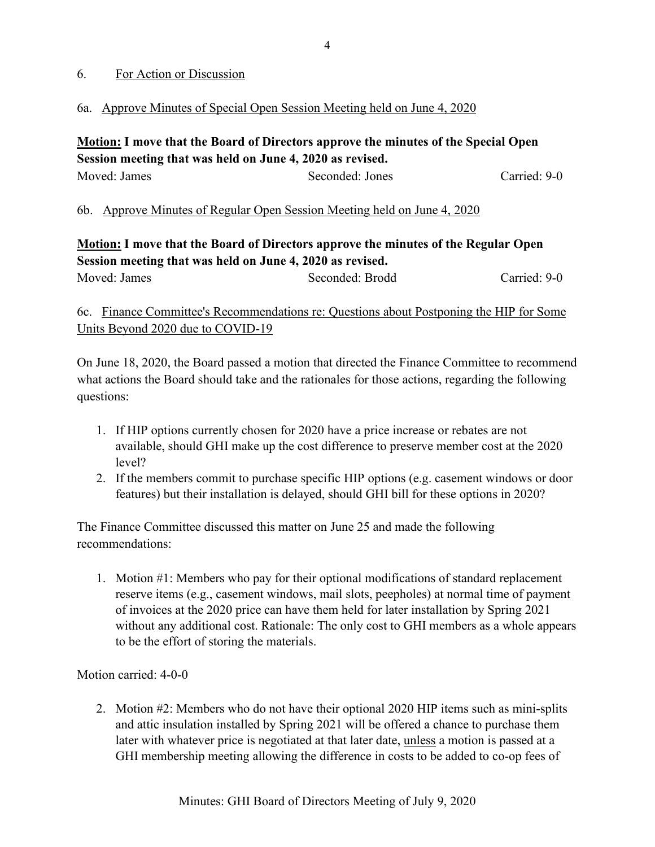#### 6. For Action or Discussion

6a. Approve Minutes of Special Open Session Meeting held on June 4, 2020

**Motion: I move that the Board of Directors approve the minutes of the Special Open Session meeting that was held on June 4, 2020 as revised.** Moved: James Seconded: Jones Carried: 9-0

6b. Approve Minutes of Regular Open Session Meeting held on June 4, 2020

## **Motion: I move that the Board of Directors approve the minutes of the Regular Open Session meeting that was held on June 4, 2020 as revised.** Moved: James Seconded: Brodd Carried: 9-0

6c. Finance Committee's Recommendations re: Questions about Postponing the HIP for Some Units Beyond 2020 due to COVID-19

On June 18, 2020, the Board passed a motion that directed the Finance Committee to recommend what actions the Board should take and the rationales for those actions, regarding the following questions:

- 1. If HIP options currently chosen for 2020 have a price increase or rebates are not available, should GHI make up the cost difference to preserve member cost at the 2020 level?
- 2. If the members commit to purchase specific HIP options (e.g. casement windows or door features) but their installation is delayed, should GHI bill for these options in 2020?

The Finance Committee discussed this matter on June 25 and made the following recommendations:

1. Motion #1: Members who pay for their optional modifications of standard replacement reserve items (e.g., casement windows, mail slots, peepholes) at normal time of payment of invoices at the 2020 price can have them held for later installation by Spring 2021 without any additional cost. Rationale: The only cost to GHI members as a whole appears to be the effort of storing the materials.

Motion carried: 4-0-0

2. Motion #2: Members who do not have their optional 2020 HIP items such as mini-splits and attic insulation installed by Spring 2021 will be offered a chance to purchase them later with whatever price is negotiated at that later date, unless a motion is passed at a GHI membership meeting allowing the difference in costs to be added to co-op fees of

4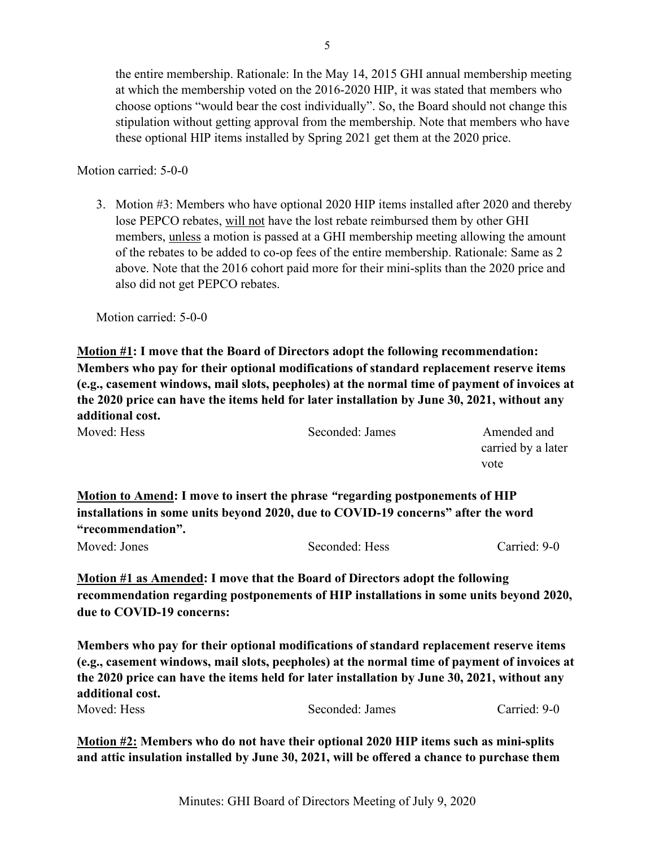the entire membership. Rationale: In the May 14, 2015 GHI annual membership meeting at which the membership voted on the 2016-2020 HIP, it was stated that members who choose options "would bear the cost individually". So, the Board should not change this stipulation without getting approval from the membership. Note that members who have these optional HIP items installed by Spring 2021 get them at the 2020 price.

Motion carried: 5-0-0

3. Motion #3: Members who have optional 2020 HIP items installed after 2020 and thereby lose PEPCO rebates, will not have the lost rebate reimbursed them by other GHI members, unless a motion is passed at a GHI membership meeting allowing the amount of the rebates to be added to co-op fees of the entire membership. Rationale: Same as 2 above. Note that the 2016 cohort paid more for their mini-splits than the 2020 price and also did not get PEPCO rebates.

Motion carried: 5-0-0

**Motion #1: I move that the Board of Directors adopt the following recommendation: Members who pay for their optional modifications of standard replacement reserve items (e.g., casement windows, mail slots, peepholes) at the normal time of payment of invoices at the 2020 price can have the items held for later installation by June 30, 2021, without any additional cost.** 

| Moved: Hess | Seconded: James                                                              | Amended and        |  |
|-------------|------------------------------------------------------------------------------|--------------------|--|
|             |                                                                              | carried by a later |  |
|             |                                                                              | vote               |  |
|             | Motion to Amend: I move to insert the phrase "regarding postponements of HIP |                    |  |

**installations in some units beyond 2020, due to COVID-19 concerns" after the word "recommendation".**

Moved: Jones Seconded: Hess Carried: 9-0

**Motion #1 as Amended: I move that the Board of Directors adopt the following recommendation regarding postponements of HIP installations in some units beyond 2020, due to COVID-19 concerns:**

**Members who pay for their optional modifications of standard replacement reserve items (e.g., casement windows, mail slots, peepholes) at the normal time of payment of invoices at the 2020 price can have the items held for later installation by June 30, 2021, without any additional cost.**  Moved: Hess Seconded: James Carried: 9-0

**Motion #2: Members who do not have their optional 2020 HIP items such as mini-splits and attic insulation installed by June 30, 2021, will be offered a chance to purchase them**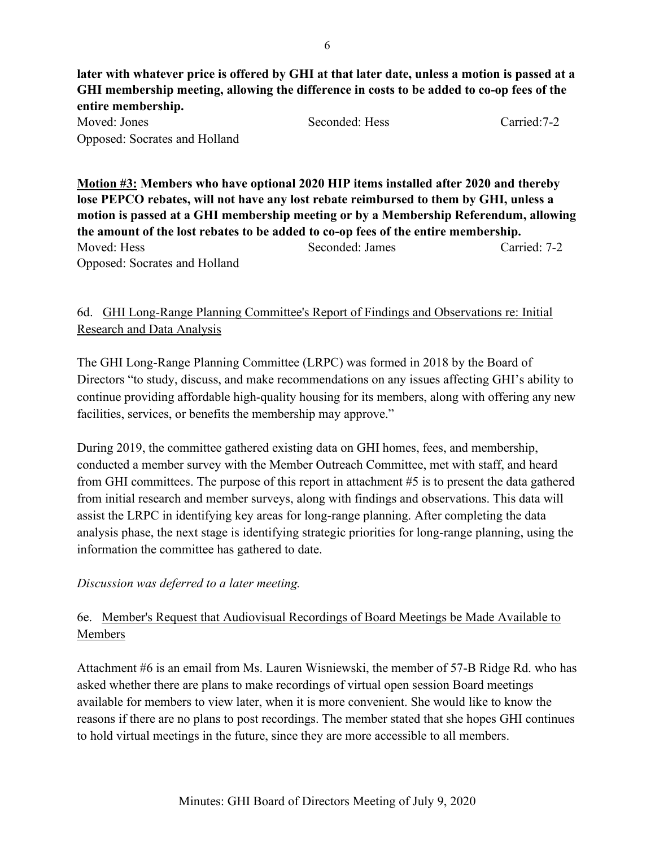**later with whatever price is offered by GHI at that later date, unless a motion is passed at a GHI membership meeting, allowing the difference in costs to be added to co-op fees of the entire membership.**  Moved: Jones Seconded: Hess Carried:7-2 Opposed: Socrates and Holland

**Motion #3: Members who have optional 2020 HIP items installed after 2020 and thereby lose PEPCO rebates, will not have any lost rebate reimbursed to them by GHI, unless a motion is passed at a GHI membership meeting or by a Membership Referendum, allowing the amount of the lost rebates to be added to co-op fees of the entire membership.**  Moved: Hess Seconded: James Carried: 7-2 Opposed: Socrates and Holland

# 6d. GHI Long-Range Planning Committee's Report of Findings and Observations re: Initial Research and Data Analysis

The GHI Long-Range Planning Committee (LRPC) was formed in 2018 by the Board of Directors "to study, discuss, and make recommendations on any issues affecting GHI's ability to continue providing affordable high-quality housing for its members, along with offering any new facilities, services, or benefits the membership may approve."

During 2019, the committee gathered existing data on GHI homes, fees, and membership, conducted a member survey with the Member Outreach Committee, met with staff, and heard from GHI committees. The purpose of this report in attachment #5 is to present the data gathered from initial research and member surveys, along with findings and observations. This data will assist the LRPC in identifying key areas for long-range planning. After completing the data analysis phase, the next stage is identifying strategic priorities for long-range planning, using the information the committee has gathered to date.

#### *Discussion was deferred to a later meeting.*

# 6e. Member's Request that Audiovisual Recordings of Board Meetings be Made Available to Members

Attachment #6 is an email from Ms. Lauren Wisniewski, the member of 57-B Ridge Rd. who has asked whether there are plans to make recordings of virtual open session Board meetings available for members to view later, when it is more convenient. She would like to know the reasons if there are no plans to post recordings. The member stated that she hopes GHI continues to hold virtual meetings in the future, since they are more accessible to all members.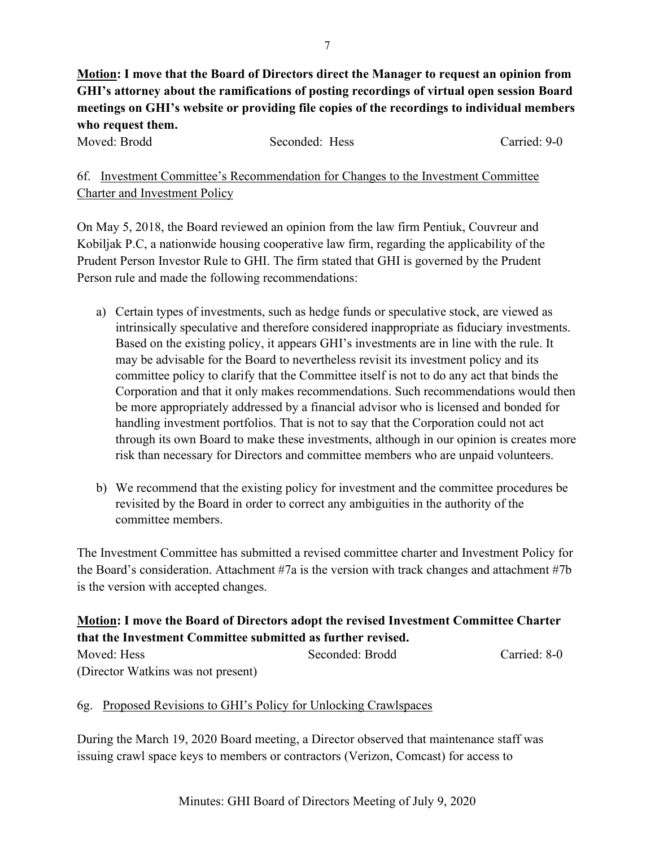**Motion: I move that the Board of Directors direct the Manager to request an opinion from GHI's attorney about the ramifications of posting recordings of virtual open session Board meetings on GHI's website or providing file copies of the recordings to individual members who request them.** 

Moved: Brodd Seconded: Hess Carried: 9-0

6f. Investment Committee's Recommendation for Changes to the Investment Committee Charter and Investment Policy

On May 5, 2018, the Board reviewed an opinion from the law firm Pentiuk, Couvreur and Kobiljak P.C, a nationwide housing cooperative law firm, regarding the applicability of the Prudent Person Investor Rule to GHI. The firm stated that GHI is governed by the Prudent Person rule and made the following recommendations:

- a) Certain types of investments, such as hedge funds or speculative stock, are viewed as intrinsically speculative and therefore considered inappropriate as fiduciary investments. Based on the existing policy, it appears GHI's investments are in line with the rule. It may be advisable for the Board to nevertheless revisit its investment policy and its committee policy to clarify that the Committee itself is not to do any act that binds the Corporation and that it only makes recommendations. Such recommendations would then be more appropriately addressed by a financial advisor who is licensed and bonded for handling investment portfolios. That is not to say that the Corporation could not act through its own Board to make these investments, although in our opinion is creates more risk than necessary for Directors and committee members who are unpaid volunteers.
- b) We recommend that the existing policy for investment and the committee procedures be revisited by the Board in order to correct any ambiguities in the authority of the committee members.

The Investment Committee has submitted a revised committee charter and Investment Policy for the Board's consideration. Attachment #7a is the version with track changes and attachment #7b is the version with accepted changes.

# **Motion: I move the Board of Directors adopt the revised Investment Committee Charter that the Investment Committee submitted as further revised.**

| Moved: Hess                        | Seconded: Brodd | Carried: 8-0 |
|------------------------------------|-----------------|--------------|
| (Director Watkins was not present) |                 |              |

# 6g. Proposed Revisions to GHI's Policy for Unlocking Crawlspaces

During the March 19, 2020 Board meeting, a Director observed that maintenance staff was issuing crawl space keys to members or contractors (Verizon, Comcast) for access to